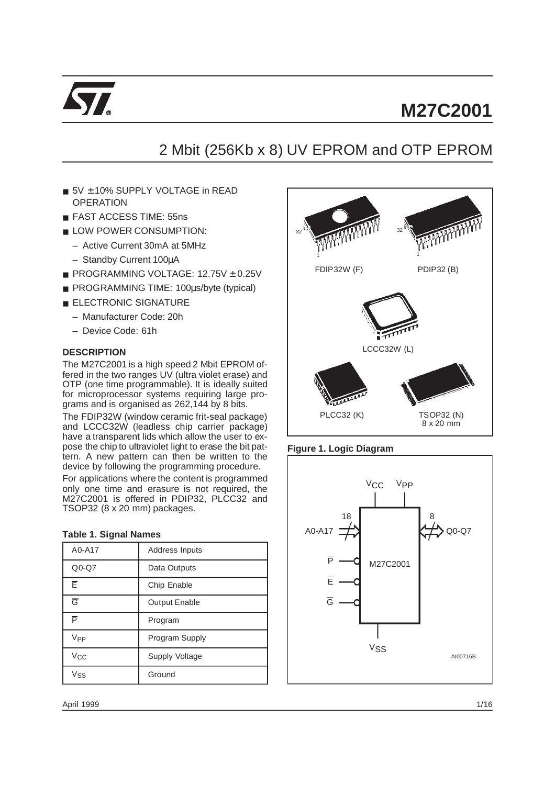

# 2 Mbit (256Kb x 8) UV EPROM and OTP EPROM

- 5V + 10% SUPPLY VOLTAGE in READ **OPERATION**
- FAST ACCESS TIME: 55ns
- LOW POWER CONSUMPTION:
	- Active Current 30mA at 5MHz
	- Standby Current 100µA
- PROGRAMMING VOLTAGE: 12.75V ± 0.25V
- PROGRAMMING TIME: 100µs/byte (typical)
- **ELECTRONIC SIGNATURE** 
	- Manufacturer Code: 20h
	- Device Code: 61h

# **DESCRIPTION**

The M27C2001 is a high speed 2 Mbit EPROM offered in the two ranges UV (ultra violet erase) and OTP (one time programmable). It is ideally suited for microprocessor systems requiring large programs and is organised as 262,144 by 8 bits.

The FDIP32W (window ceramic frit-seal package) and LCCC32W (leadless chip carrier package) have a transparent lids which allow the user to expose the chip to ultraviolet light to erase the bit pattern. A new pattern can then be written to the device by following the programming procedure.

For applications where the content is programmed only one time and erasure is not required, the M27C2001 is offered in PDIP32, PLCC32 and TSOP32 (8 x 20 mm) packages.

#### **Table 1. Signal Names**

| A0-A17                | Address Inputs        |
|-----------------------|-----------------------|
| $Q0-Q7$               | Data Outputs          |
| Ē                     | Chip Enable           |
| $\overline{G}$        | <b>Output Enable</b>  |
| Þ                     | Program               |
| V <sub>PP</sub>       | Program Supply        |
| <b>V<sub>CC</sub></b> | <b>Supply Voltage</b> |
| Vss                   | Ground                |



# **Figure 1. Logic Diagram**

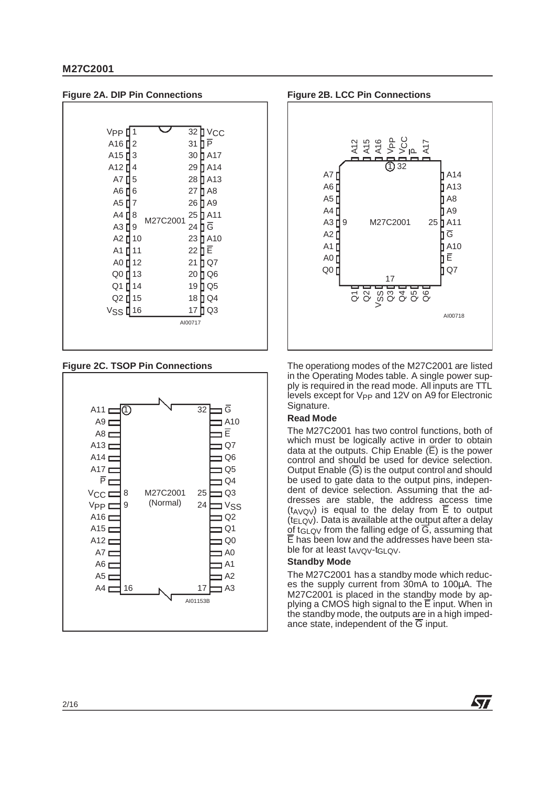

**Figure 2C. TSOP Pin Connections**







The operationg modes of the M27C2001 are listed in the Operating Modes table. A single power supply is required in the read mode. All inputs are TTL levels except for V<sub>PP</sub> and 12V on A9 for Electronic Signature.

# **Read Mode**

The M27C2001 has two control functions, both of which must be logically active in order to obtain data at the outputs. Chip Enable  $(\overline{E})$  is the power control and should be used for device selection. Output Enable  $(\overline{G})$  is the output control and should be used to gate data to the output pins, independent of device selection. Assuming that the addresses are stable, the address access time  $(t_{AVOV})$  is equal to the delay from  $\overline{E}$  to output  $(t_{ELOV})$ . Data is available at the output after a delay of t<sub>GLOV</sub> from the falling edge of  $\overline{G}$ , assuming that E has been low and the addresses have been stable for at least tAVQV-tGLQV.

# **Standby Mode**

The M27C2001 has a standby mode which reduces the supply current from 30mA to 100µA. The M27C2001 is placed in the standby mode by applying a CMOS high signal to the  $\overline{E}$  input. When in the standby mode, the outputs are in a high impedance state, independent of the  $\overline{G}$  input.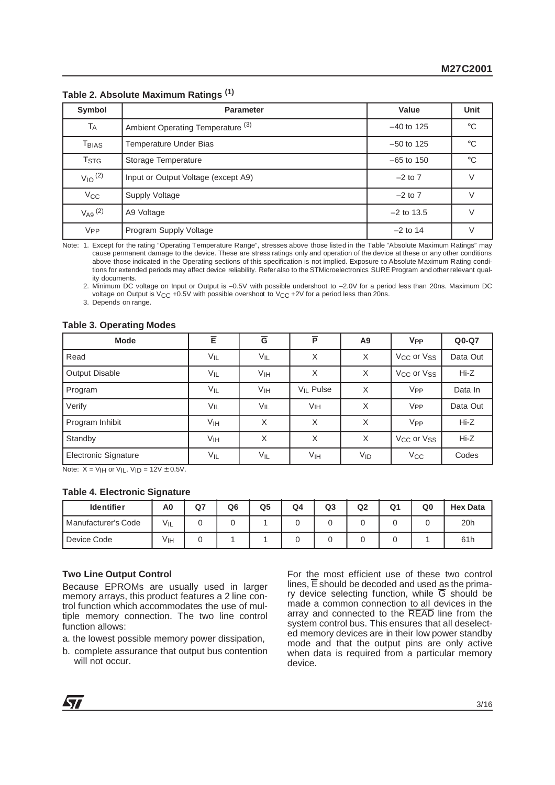| Symbol                  | <b>Parameter</b>                             | Value        | <b>Unit</b>  |
|-------------------------|----------------------------------------------|--------------|--------------|
| TA                      | Ambient Operating Temperature <sup>(3)</sup> | $-40$ to 125 | $^{\circ}$ C |
| T <sub>BIAS</sub>       | <b>Temperature Under Bias</b>                | $-50$ to 125 | $^{\circ}$ C |
| <b>T</b> <sub>STG</sub> | Storage Temperature                          | $-65$ to 150 | $^{\circ}$ C |
| $V_{10}$ <sup>(2)</sup> | Input or Output Voltage (except A9)          | $-2$ to $7$  |              |
| $V_{\rm CC}$            | Supply Voltage                               | $-2$ to $7$  |              |
| $V_{A9}$ (2)            | A9 Voltage                                   | $-2$ to 13.5 |              |
| V <sub>PP</sub>         | Program Supply Voltage                       | $-2$ to 14   |              |

**Table 2. Absolute Maximum Ratings (1)**

Note: 1. Except for the rating "Operating Temperature Range", stresses above those listed in the Table "Absolute Maximum Ratings" may cause permanent damage to the device. These are stress ratings only and operation of the device at these or any other conditions above those indicated in the Operating sections of this specification is not implied. Exposure to Absolute Maximum Rating conditions for extended periods may affect device reliability. Refer also to the STMicroelectronics SURE Program and other relevant quality documents.

2. Minimum DC voltage on Input or Output is –0.5V with possible undershoot to –2.0V for a period less than 20ns. Maximum DC voltage on Output is  $V_{\text{CC}} +0.5V$  with possible overshoot to  $V_{\text{CC}} +2V$  for a period less than 20ns.

3. Depends on range.

#### **Table 3. Operating Modes**

| <b>Mode</b>          | Ē                    | $\overline{G}$  | $\overline{P}$        | A9       | <b>V<sub>PP</sub></b>              | $Q0-Q7$  |
|----------------------|----------------------|-----------------|-----------------------|----------|------------------------------------|----------|
| Read                 | $V_{IL}$             | $V_{IL}$        | X                     | X        | V <sub>CC</sub> or V <sub>SS</sub> | Data Out |
| Output Disable       | $V_{IL}$             | V <sub>IH</sub> | X                     | X        | V <sub>CC</sub> or V <sub>SS</sub> | $Hi-Z$   |
| Program              | $V_{IL}$             | V <sub>IH</sub> | V <sub>II</sub> Pulse | X        | V <sub>PP</sub>                    | Data In  |
| Verify               | VIL                  | VIL             | <b>V<sub>IH</sub></b> | X        | <b>V<sub>PP</sub></b>              | Data Out |
| Program Inhibit      | V <sub>IH</sub>      | X               | X                     | $\times$ | V <sub>PP</sub>                    | Hi-Z     |
| Standby              | V <sub>IH</sub><br>X |                 | X                     | X        | V <sub>CC</sub> or V <sub>SS</sub> | $Hi-Z$   |
| Electronic Signature | $V_{IL}$             | $V_{IL}$        | V <sub>IH</sub>       | $V_{ID}$ | $V_{\rm CC}$                       | Codes    |

Note:  $X = V_H$  or  $V_H$ ,  $V_H = 12V \pm 0.5V$ .

#### **Table 4. Electronic Signature**

| <b>Identifier</b>   | A0       | Q <sub>7</sub> | Q <sub>6</sub> | Q <sub>5</sub> | Q4 | Q3 | Q <sub>2</sub> | Q <sub>1</sub> | Q0 | <b>Hex Data</b> |
|---------------------|----------|----------------|----------------|----------------|----|----|----------------|----------------|----|-----------------|
| Manufacturer's Code | $V_{IL}$ |                |                |                |    |    |                |                |    | 20h             |
| Device Code         | Vін      |                |                |                |    |    |                |                |    | 61h             |

#### **Two Line Output Control**

Because EPROMs are usually used in larger memory arrays, this product features a 2 line control function which accommodates the use of multiple memory connection. The two line control function allows:

a. the lowest possible memory power dissipation,

b. complete assurance that output bus contention will not occur.

For the most efficient use of these two control lines, E should be decoded and used as the primary device selecting function, while  $\overline{G}$  should be made a common connection to all devices in the array and connected to the READ line from the system control bus. This ensures that all deselected memory devices are in their low power standby mode and that the output pins are only active when data is required from a particular memory device.

**S77**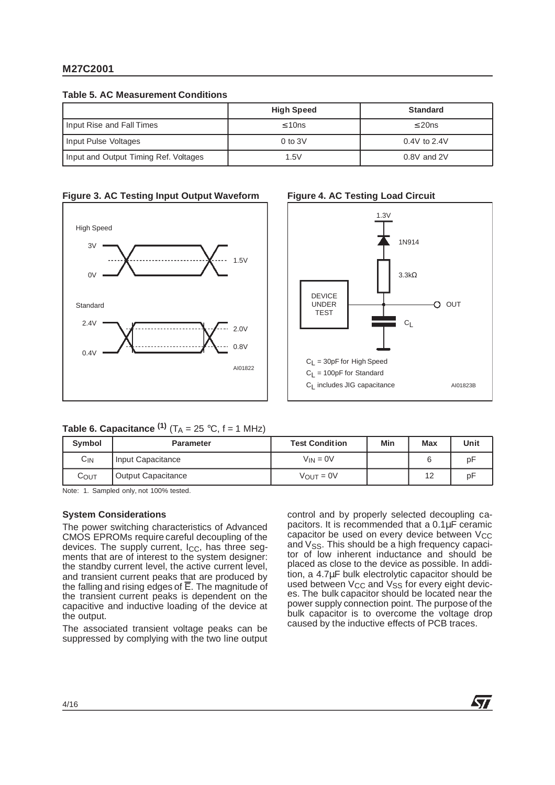|  |  | <b>Table 5. AC Measurement Conditions</b> |  |
|--|--|-------------------------------------------|--|
|--|--|-------------------------------------------|--|

|                                       | <b>High Speed</b> | <b>Standard</b>  |
|---------------------------------------|-------------------|------------------|
| Input Rise and Fall Times             | $\leq 10$ ns      | $\leq$ 20ns      |
| Input Pulse Voltages                  | $0$ to $3V$       | $0.4V$ to $2.4V$ |
| Input and Output Timing Ref. Voltages | 1.5V              | $0.8V$ and $2V$  |

#### **Figure 3. AC Testing Input Output Waveform**





# **Table 6. Capacitance**  $^{(1)}$  **(T<sub>A</sub> = 25 °C, f = 1 MHz)**

| Symbol          | <b>Parameter</b>          | <b>Test Condition</b> | Min | <b>Max</b> | Unit |
|-----------------|---------------------------|-----------------------|-----|------------|------|
| С <sub>IN</sub> | Input Capacitance         | $V_{IN} = 0V$         |     |            | pF   |
| COUT            | <b>Output Capacitance</b> | $V_{\text{OUT}} = 0V$ |     | 12         | рF   |

Note: 1. Sampled only, not 100% tested.

#### **System Considerations**

The power switching characteristics of Advanced CMOS EPROMs require careful decoupling of the devices. The supply current,  $I_{CC}$ , has three segments that are of interest to the system designer: the standby current level, the active current level, and transient current peaks that are produced by the falling and rising edges of  $\overline{E}$ . The magnitude of the transient current peaks is dependent on the capacitive and inductive loading of the device at the output.

The associated transient voltage peaks can be suppressed by complying with the two line output control and by properly selected decoupling capacitors. It is recommended that a 0.1µF ceramic capacitor be used on every device between V<sub>CC</sub> and  $V_{SS}$ . This should be a high frequency capacitor of low inherent inductance and should be placed as close to the device as possible. In addition, a 4.7µF bulk electrolytic capacitor should be used between  $V_{CC}$  and  $V_{SS}$  for every eight devices. The bulk capacitor should be located near the power supply connection point. The purpose of the bulk capacitor is to overcome the voltage drop caused by the inductive effects of PCB traces.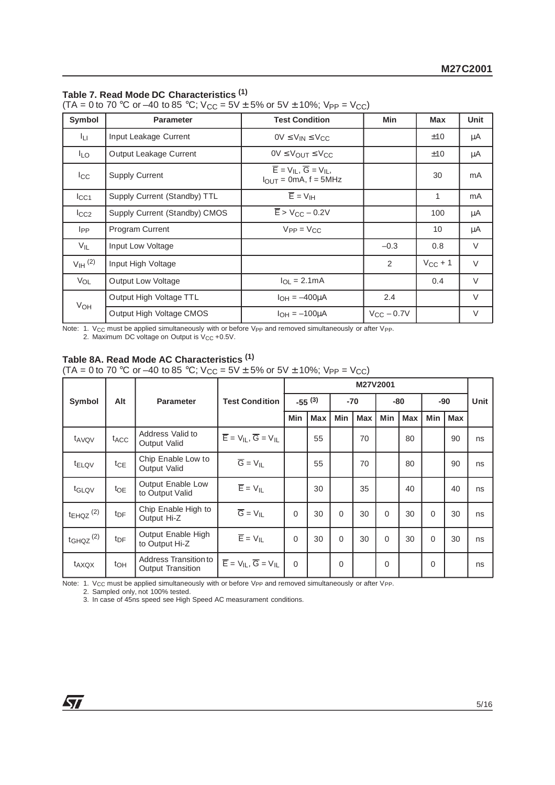# **Table 7. Read Mode DC Characteristics (1)**

(TA = 0 to 70 °C or –40 to 85 °C;  $V_{CC}$  = 5V  $\pm$  5% or 5V  $\pm$  10%; V<sub>PP</sub> = V<sub>CC</sub>)

| Symbol                | <b>Parameter</b>              | <b>Test Condition</b>                                                                        | <b>Min</b>          | <b>Max</b>   | <b>Unit</b> |
|-----------------------|-------------------------------|----------------------------------------------------------------------------------------------|---------------------|--------------|-------------|
| Iц.                   | Input Leakage Current         | $0V \leq V_{IN} \leq V_{CC}$                                                                 |                     | ±10          | μA          |
| <b>ILO</b>            | Output Leakage Current        | $0V \leq V_{\text{OUT}} \leq V_{\text{CC}}$                                                  |                     | ±10          | μA          |
| $_{\rm lcc}$          | <b>Supply Current</b>         | $\overline{E}$ = $V_{IL}$ , $\overline{G}$ = $V_{IL}$ ,<br>$I_{\text{OUT}} = 0$ mA, f = 5MHz |                     | 30           | mA          |
| $_{\text{ICC1}}$      | Supply Current (Standby) TTL  | $\overline{E}$ = $V_{\text{IH}}$                                                             |                     | 1            | mA          |
| $I_{CC2}$             | Supply Current (Standby) CMOS | $\overline{E}$ > V <sub>CC</sub> – 0.2V                                                      |                     | 100          | μA          |
| <b>I</b> pp           | Program Current               | $V_{PP} = V_{CC}$                                                                            |                     | 10           | μA          |
| $V_{IL}$              | Input Low Voltage             |                                                                                              | $-0.3$              | 0.8          | $\vee$      |
| $V_{\text{IH}}^{(2)}$ | Input High Voltage            |                                                                                              | 2                   | $V_{CC} + 1$ | $\vee$      |
| VOL                   | <b>Output Low Voltage</b>     | $I_{\Omega I} = 2.1 \text{mA}$                                                               |                     | 0.4          | $\vee$      |
| VOH                   | Output High Voltage TTL       | $I_{OH} = -400\mu A$                                                                         | 2.4                 |              | $\vee$      |
|                       | Output High Voltage CMOS      | $I_{OH} = -100 \mu A$                                                                        | $V_{\rm CC}$ – 0.7V |              | V           |

Note: 1. V<sub>CC</sub> must be applied simultaneously with or before V<sub>PP</sub> and removed simultaneously or after V<sub>PP</sub>. 2. Maximum DC voltage on Output is V<sub>CC</sub> +0.5V.

# **Table 8A. Read Mode AC Characteristics (1)**

(TA = 0 to 70 °C or –40 to 85 °C;  $V_{CC}$  = 5V  $\pm$  5% or 5V  $\pm$  10%;  $V_{PP}$  = V<sub>CC</sub>)

|                           |                  |                                                   |                                                       | M27V2001   |             |             |            |                |            |            |            |      |
|---------------------------|------------------|---------------------------------------------------|-------------------------------------------------------|------------|-------------|-------------|------------|----------------|------------|------------|------------|------|
| Symbol                    | Alt              | <b>Parameter</b>                                  | <b>Test Condition</b>                                 |            | $-55^{(3)}$ |             | $-70$      | -80            |            | $-90$      |            | Unit |
|                           |                  |                                                   |                                                       | <b>Min</b> | <b>Max</b>  | Min         | <b>Max</b> | Min            | <b>Max</b> | <b>Min</b> | <b>Max</b> |      |
| t <sub>AVQV</sub>         | t <sub>ACC</sub> | Address Valid to<br>Output Valid                  | $\overline{E}$ = $V_{IL}$ , $\overline{G}$ = $V_{IL}$ |            | 55          |             | 70         |                | 80         |            | 90         | ns   |
| t <sub>ELQV</sub>         | $t_{\text{CE}}$  | Chip Enable Low to<br><b>Output Valid</b>         | $\overline{G} = V_{IL}$                               |            | 55          |             | 70         |                | 80         |            | 90         | ns   |
| t <sub>GLQV</sub>         | toe              | Output Enable Low<br>to Output Valid              | $\overline{\mathsf{E}}=\mathsf{V}_{\mathsf{IL}}$      |            | 30          |             | 35         |                | 40         |            | 40         | ns   |
| $t_{EHQZ}$ <sup>(2)</sup> | $t_{\text{DF}}$  | Chip Enable High to<br>Output Hi-Z                | $\overline{G} = V_{IL}$                               | $\Omega$   | 30          | $\Omega$    | 30         | $\Omega$       | 30         | $\Omega$   | 30         | ns   |
| $t_{GHQZ}$ <sup>(2)</sup> | t <sub>DF</sub>  | Output Enable High<br>to Output Hi-Z              | $\overline{E} = V_{IL}$                               | $\Omega$   | 30          | $\Omega$    | 30         | $\Omega$       | 30         | $\Omega$   | 30         | ns   |
| t <sub>AXQX</sub>         | toh              | Address Transition to<br><b>Output Transition</b> | $\overline{E}$ = $V_{IL}$ , $\overline{G}$ = $V_{IL}$ | $\Omega$   |             | $\mathbf 0$ |            | $\overline{0}$ |            | 0          |            | ns   |

Note: 1. Vcc must be applied simultaneously with or before Vpp and removed simultaneously or after Vpp.

2. Sampled only, not 100% tested.

3. In case of 45ns speed see High Speed AC measurament conditions.

$$
\overline{\mathbf{M}}
$$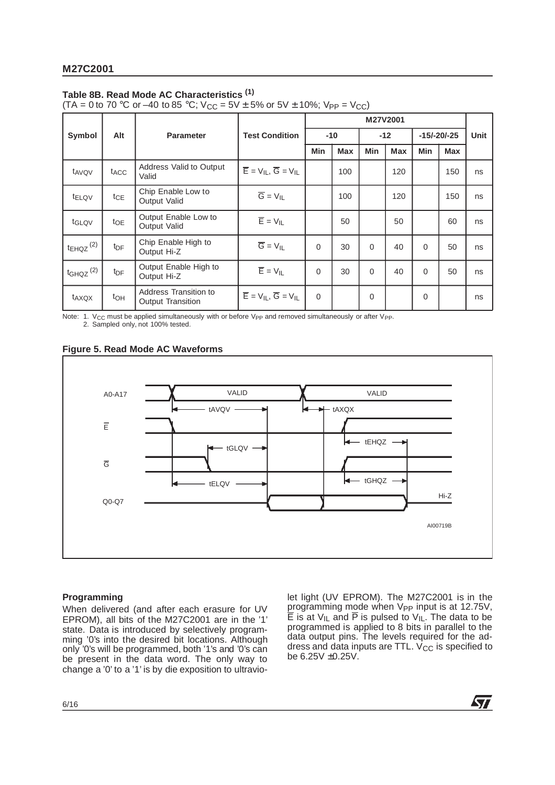# **Table 8B. Read Mode AC Characteristics (1)**

(TA = 0 to 70 °C or –40 to 85 °C;  $V_{CC}$  = 5V  $\pm$  5% or 5V  $\pm$  10%;  $V_{PP}$  = V<sub>CC</sub>)

|                           |                  |                                                   |                                                                                                      | M27V2001   |            |          |            |               |            |             |
|---------------------------|------------------|---------------------------------------------------|------------------------------------------------------------------------------------------------------|------------|------------|----------|------------|---------------|------------|-------------|
| Symbol                    | Alt              | <b>Parameter</b>                                  | <b>Test Condition</b>                                                                                |            | $-10$      |          | $-12$      | $-15/-20/-25$ |            | <b>Unit</b> |
|                           |                  |                                                   |                                                                                                      | <b>Min</b> | <b>Max</b> | Min      | <b>Max</b> | Min           | <b>Max</b> |             |
| t <sub>AVQV</sub>         | t <sub>ACC</sub> | Address Valid to Output<br>Valid                  | $\overline{\mathsf{E}} = \mathsf{V}_{\mathsf{IL}}, \overline{\mathsf{G}} = \mathsf{V}_{\mathsf{IL}}$ |            | 100        |          | 120        |               | 150        | ns          |
| t <sub>ELQV</sub>         | $t_{CE}$         | Chip Enable Low to<br>Output Valid                | $\overline{G} = V_{IL}$                                                                              |            | 100        |          | 120        |               | 150        | ns          |
| t <sub>GLQV</sub>         | $t_{OE}$         | Output Enable Low to<br>Output Valid              | $\overline{E}$ = $V_{IL}$                                                                            |            | 50         |          | 50         |               | 60         | ns          |
| $t_{EHQZ}$ <sup>(2)</sup> | t <sub>DF</sub>  | Chip Enable High to<br>Output Hi-Z                | $\overline{G} = V_{IL}$                                                                              | $\Omega$   | 30         | $\Omega$ | 40         | $\Omega$      | 50         | ns          |
| $t_{GHQZ}$ <sup>(2)</sup> | t <sub>DF</sub>  | Output Enable High to<br>Output Hi-Z              | $\overline{E}$ = $V_{IL}$                                                                            | $\Omega$   | 30         | $\Omega$ | 40         | $\Omega$      | 50         | ns          |
| t <sub>AXQX</sub>         | t <sub>OH</sub>  | Address Transition to<br><b>Output Transition</b> | $\overline{E}$ = $V_{IL}$ , $\overline{G}$ = $V_{IL}$                                                | $\Omega$   |            | 0        |            | $\Omega$      |            | ns          |

Note: 1. V<sub>CC</sub> must be applied simultaneously with or before V<sub>PP</sub> and removed simultaneously or after V<sub>PP</sub>. 2. Sampled only, not 100% tested.

# **Figure 5. Read Mode AC Waveforms**



# **Programming**

When delivered (and after each erasure for UV EPROM), all bits of the M27C2001 are in the '1' state. Data is introduced by selectively programming '0's into the desired bit locations. Although only '0's will be programmed, both '1's and '0's can be present in the data word. The only way to change a '0' to a '1' is by die exposition to ultraviolet light (UV EPROM). The M27C2001 is in the programming mode when V<sub>PP</sub> input is at 12.75V,  $\overline{\mathsf{E}}$  is at V<sub>IL</sub> and  $\overline{\mathsf{P}}$  is pulsed to V<sub>IL</sub>. The data to be programmed is applied to 8 bits in parallel to the data output pins. The levels required for the address and data inputs are TTL.  $\dot{V}_{CC}$  is specified to be  $6.25V \pm 0.25V$ .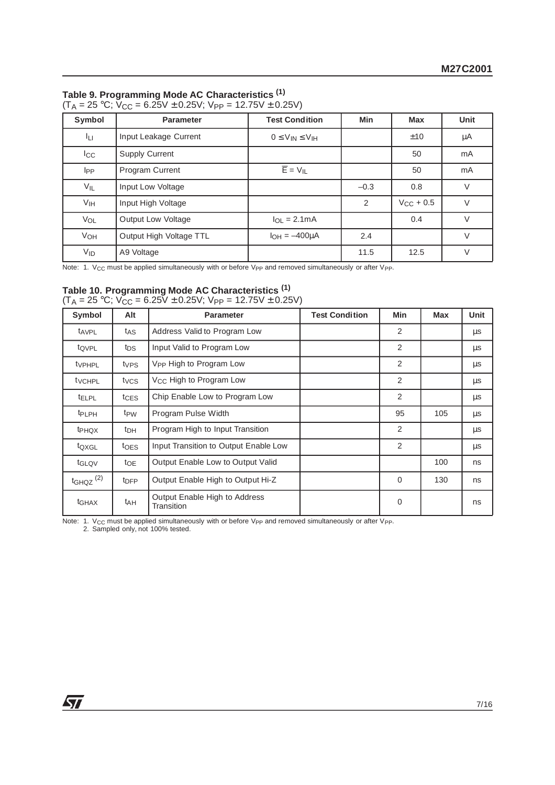# **Table 9. Programming Mode AC Characteristics (1)**

|--|

| Symbol          | <b>Parameter</b>          | <b>Test Condition</b>       | <b>Min</b> | <b>Max</b>     | Unit    |
|-----------------|---------------------------|-----------------------------|------------|----------------|---------|
| Iц              | Input Leakage Current     | $0 \leq V_{IN} \leq V_{IH}$ |            | ±10            | $\mu A$ |
| $I_{\rm CC}$    | <b>Supply Current</b>     |                             |            | 50             | mA      |
| I <sub>PP</sub> | <b>Program Current</b>    | $\overline{E}$ = $V_{IL}$   |            | 50             | mA      |
| $V_{IL}$        | Input Low Voltage         |                             | $-0.3$     | 0.8            | $\vee$  |
| V <sub>IH</sub> | Input High Voltage        |                             | 2          | $V_{CC}$ + 0.5 | $\vee$  |
| VOL             | <b>Output Low Voltage</b> | $I_{OL} = 2.1mA$            |            | 0.4            | $\vee$  |
| VOH             | Output High Voltage TTL   | $I_{OH} = -400 \mu A$       | 2.4        |                | $\vee$  |
| $V_{ID}$        | A9 Voltage                |                             | 11.5       | 12.5           | $\vee$  |

Note: 1. V<sub>CC</sub> must be applied simultaneously with or before V<sub>PP</sub> and removed simultaneously or after V<sub>PP</sub>.

# **Table 10. Programming Mode AC Characteristics (1)**

|  | $(T_A = 25 \text{ °C}; V_{CC} = 6.25V \pm 0.25V; V_{PP} = 12.75V \pm 0.25V)$ |  |
|--|------------------------------------------------------------------------------|--|
|--|------------------------------------------------------------------------------|--|

| Symbol                   | Alt              | <b>Parameter</b>                            | <b>Test Condition</b> | Min | <b>Max</b> | <b>Unit</b> |
|--------------------------|------------------|---------------------------------------------|-----------------------|-----|------------|-------------|
| t <sub>AVPL</sub>        | t <sub>AS</sub>  | Address Valid to Program Low                |                       | 2   |            | $\mu$ s     |
| tQVPL                    | tps              | Input Valid to Program Low                  |                       | 2   |            | μs          |
| tvPHPL                   | t <sub>VPS</sub> | V <sub>PP</sub> High to Program Low         |                       | 2   |            | $\mu$ s     |
| tvcHPL                   | tycs             | V <sub>CC</sub> High to Program Low         |                       | 2   |            | μs          |
| <b>tELPL</b>             | t <sub>CES</sub> | Chip Enable Low to Program Low              |                       | 2   |            | $\mu$ s     |
| <b>t</b> <sub>PLPH</sub> | t <sub>PW</sub>  | Program Pulse Width                         |                       | 95  | 105        | $\mu$ s     |
| <b>t</b> PHQX            | t <sub>DH</sub>  | Program High to Input Transition            |                       | 2   |            | $\mu$ s     |
| t <sub>QXGL</sub>        | t <sub>OES</sub> | Input Transition to Output Enable Low       |                       | 2   |            | $\mu$ s     |
| t <sub>GLQV</sub>        | $t_{OE}$         | Output Enable Low to Output Valid           |                       |     | 100        | ns          |
| $t$ GHQZ $(2)$           | t <sub>DFP</sub> | Output Enable High to Output Hi-Z           |                       | 0   | 130        | ns          |
| t <sub>GHAX</sub>        | t <sub>AH</sub>  | Output Enable High to Address<br>Transition |                       | 0   |            | ns          |

Note: 1.  $V_{CC}$  must be applied simultaneously with or before V<sub>PP</sub> and removed simultaneously or after V<sub>PP</sub>.<br>2. Sampled only, not 100% tested.

57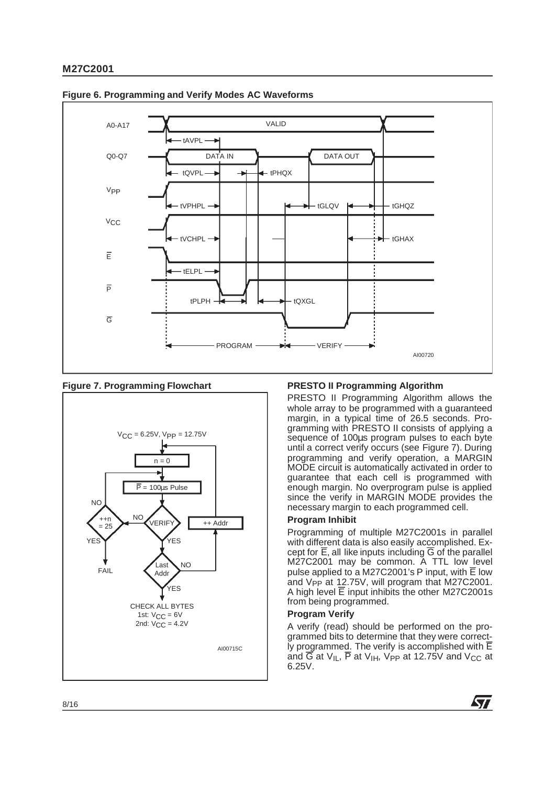

#### **Figure 6. Programming and Verify Modes AC Waveforms**

# **Figure 7. Programming Flowchart**



# **PRESTO II Programming Algorithm**

PRESTO II Programming Algorithm allows the whole array to be programmed with a guaranteed margin, in a typical time of 26.5 seconds. Programming with PRESTO II consists of applying a sequence of 100 $\mu$ s program pulses to each byte until a correct verify occurs (see Figure 7). During programming and verify operation, a MARGIN MODE circuit is automatically activated in order to guarantee that each cell is programmed with enough margin. No overprogram pulse is applied since the verify in MARGIN MODE provides the necessary margin to each programmed cell.

# **Program Inhibit**

Programming of multiple M27C2001s in parallel with different data is also easily accomplished. Except for  $\overline{E}$ , all like inputs including  $\overline{G}$  of the parallel M27C2001 may be common. A TTL low level pulse applied to a M27C2001's P input, with  $\overline{E}$  low and V<sub>PP</sub> at 12.75V, will program that M27C2001. A high level  $\overline{E}$  input inhibits the other M27C2001s from being programmed.

#### **Program Verify**

A verify (read) should be performed on the programmed bits to determine that they were correct-Iy programmed. The verify is accomplished with  $\overline{E}$ and  $\overline{G}$  at V<sub>IL</sub>,  $\overline{P}$  at V<sub>IH</sub>, V<sub>PP</sub> at 12.75V and V<sub>CC</sub> at 6.25V.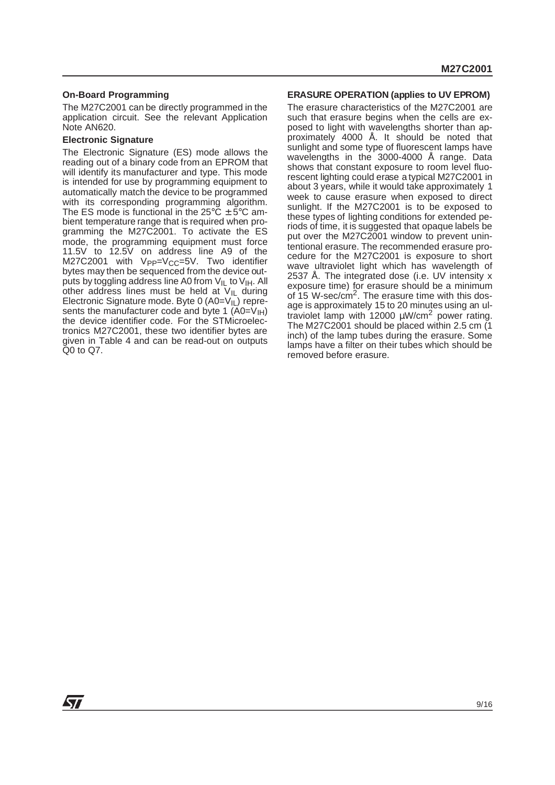#### **On-Board Programming**

The M27C2001 can be directly programmed in the application circuit. See the relevant Application Note AN620.

### **Electronic Signature**

The Electronic Signature (ES) mode allows the reading out of a binary code from an EPROM that will identify its manufacturer and type. This mode is intended for use by programming equipment to automatically match the device to be programmed with its corresponding programming algorithm. The ES mode is functional in the  $25^{\circ}$ C  $\pm$  5°C ambient temperature range that is required when programming the M27C2001. To activate the ES mode, the programming equipment must force 11.5V to 12.5V on address line A9 of the  $M27C2001$  with  $VPP=VCC=5V$ . Two identifier bytes may then be sequenced from the device outputs by toggling address line A0 from  $V_{IL}$  to  $V_{IH}$ . All other address lines must be held at  $V_{II}$  during Electronic Signature mode. Byte 0  $(A0=V_{II})$  represents the manufacturer code and byte 1  $(A0=V<sub>1H</sub>)$ the device identifier code. For the STMicroelectronics M27C2001, these two identifier bytes are given in Table 4 and can be read-out on outputs Q0 to Q7.

#### **ERASURE OPERATION (applies to UV EPROM)**

The erasure characteristics of the M27C2001 are such that erasure begins when the cells are exposed to light with wavelengths shorter than approximately 4000 Å. It should be noted that sunlight and some type of fluorescent lamps have wavelengths in the 3000-4000 Å range. Data shows that constant exposure to room level fluorescent lighting could erase a typical M27C2001 in about 3 years, while it would take approximately 1 week to cause erasure when exposed to direct sunlight. If the M27C2001 is to be exposed to these types of lighting conditions for extended periods of time, it is suggested that opaque labels be put over the M27C2001 window to prevent unintentional erasure. The recommended erasure procedure for the M27C2001 is exposure to short wave ultraviolet light which has wavelength of 2537 Å. The integrated dose (i.e. UV intensity x exposure time) for erasure should be a minimum of 15 W-sec/ $cm<sup>2</sup>$ . The erasure time with this dosage is approximately 15 to 20 minutes using an ultraviolet lamp with 12000  $\mu$ W/cm<sup>2</sup> power rating. The M27C2001 should be placed within 2.5 cm (1 inch) of the lamp tubes during the erasure. Some lamps have a filter on their tubes which should be removed before erasure.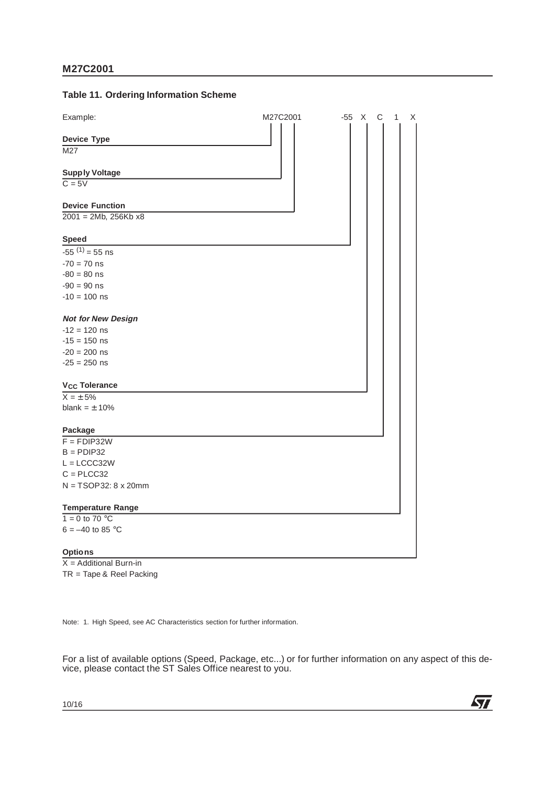### **Table 11. Ordering Information Scheme**

| Example:                     | M27C2001 | -55 X C<br>1<br>X |
|------------------------------|----------|-------------------|
| <b>Device Type</b>           |          |                   |
| M27                          |          |                   |
| <b>Supply Voltage</b>        |          |                   |
| $C = 5V$                     |          |                   |
| <b>Device Function</b>       |          |                   |
| $2001 = 2Mb, 256Kb x8$       |          |                   |
| <b>Speed</b>                 |          |                   |
| $-55^{(1)} = 55$ ns          |          |                   |
| $-70 = 70$ ns                |          |                   |
| $-80 = 80$ ns                |          |                   |
| $-90 = 90$ ns                |          |                   |
| $-10 = 100$ ns               |          |                   |
| <b>Not for New Design</b>    |          |                   |
| $-12 = 120$ ns               |          |                   |
| $-15 = 150$ ns               |          |                   |
| $-20 = 200$ ns               |          |                   |
| $-25 = 250$ ns               |          |                   |
| V <sub>CC</sub> Tolerance    |          |                   |
| $X = \pm 5\%$                |          |                   |
| blank = $\pm$ 10%            |          |                   |
| Package                      |          |                   |
| $F = FDIP32W$                |          |                   |
| $B =$ PDIP32                 |          |                   |
| $L = LCCC32W$                |          |                   |
| $C = P L C C 32$             |          |                   |
| $N = TSOP32: 8 \times 20$ mm |          |                   |
| <b>Temperature Range</b>     |          |                   |
| $1 = 0$ to 70 °C             |          |                   |
| $6 = -40$ to 85 °C           |          |                   |
| <b>Options</b>               |          |                   |

 $X =$  Additional Burn-in TR = Tape & Reel Packing

Note: 1. High Speed, see AC Characteristics section for further information.

For a list of available options (Speed, Package, etc...) or for further information on any aspect of this device, please contact the ST Sales Office nearest to you.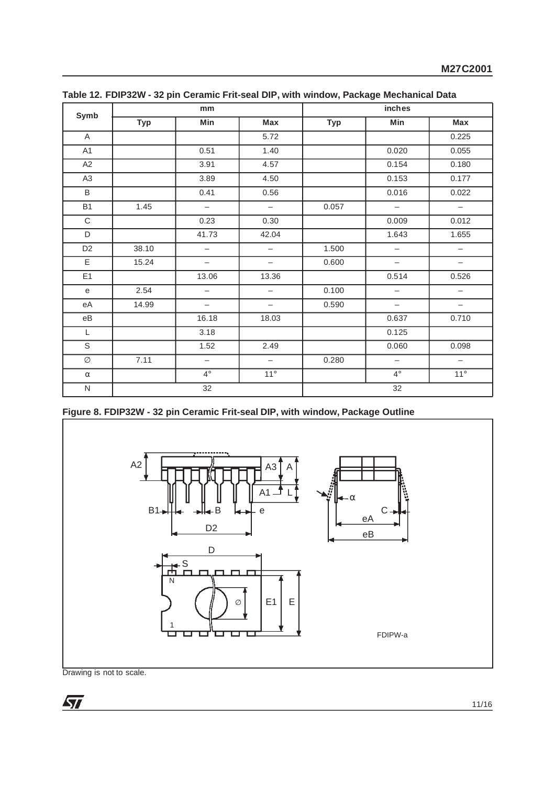| Symb                                             |            | mm                       |                          | inches     |                          |                          |  |
|--------------------------------------------------|------------|--------------------------|--------------------------|------------|--------------------------|--------------------------|--|
|                                                  | <b>Typ</b> | Min                      | Max                      | <b>Typ</b> | Min                      | Max                      |  |
| $\mathsf{A}$                                     |            |                          | 5.72                     |            |                          | 0.225                    |  |
| A <sub>1</sub>                                   |            | 0.51                     | 1.40                     |            | 0.020                    | 0.055                    |  |
| A2                                               |            | 3.91                     | 4.57                     |            | 0.154                    | 0.180                    |  |
| A <sub>3</sub>                                   |            | 3.89                     | 4.50                     |            | 0.153                    | 0.177                    |  |
| B                                                |            | 0.41                     | 0.56                     |            | 0.016                    | 0.022                    |  |
| <b>B1</b>                                        | 1.45       | $\overline{\phantom{0}}$ | $\overline{\phantom{m}}$ | 0.057      | $\overline{\phantom{m}}$ | $\overline{\phantom{m}}$ |  |
| $\mathbf C$                                      |            | 0.23                     | 0.30                     |            | 0.009                    | 0.012                    |  |
| D                                                |            | 41.73                    | 42.04                    |            | 1.643                    | 1.655                    |  |
| D <sub>2</sub>                                   | 38.10      | $\qquad \qquad -$        | $\overline{\phantom{m}}$ | 1.500      | $\qquad \qquad -$        | $\qquad \qquad -$        |  |
| Ε                                                | 15.24      | $\qquad \qquad -$        | $\overline{\phantom{0}}$ | 0.600      | $\overline{\phantom{m}}$ | $\qquad \qquad -$        |  |
| E1                                               |            | 13.06                    | 13.36                    |            | 0.514                    | 0.526                    |  |
| $\mathbf{e}% _{t}\left  \mathbf{1}\right\rangle$ | 2.54       | $\overline{\phantom{m}}$ | $\overline{\phantom{m}}$ | 0.100      | $\overline{\phantom{m}}$ | $\overline{\phantom{m}}$ |  |
| eA                                               | 14.99      | $\overline{\phantom{0}}$ | $\overline{\phantom{0}}$ | 0.590      | $\overline{\phantom{m}}$ | $\qquad \qquad -$        |  |
| eB                                               |            | 16.18                    | 18.03                    |            | 0.637                    | 0.710                    |  |
| L                                                |            | 3.18                     |                          |            | 0.125                    |                          |  |
| S                                                |            | 1.52                     | 2.49                     |            | 0.060                    | 0.098                    |  |
| Ø                                                | 7.11       | $\overline{\phantom{0}}$ | $\overline{\phantom{m}}$ | 0.280      | $\overline{\phantom{m}}$ | $\overline{\phantom{m}}$ |  |
| $\alpha$                                         |            | $4^{\circ}$              | $11^{\circ}$             |            | $4^{\circ}$              | $11^{\circ}$             |  |
| ${\sf N}$                                        |            | 32                       |                          |            | 32                       |                          |  |

**Table 12. FDIP32W - 32 pin Ceramic Frit-seal DIP, with window, Package Mechanical Data**

**Figure 8. FDIP32W - 32 pin Ceramic Frit-seal DIP, with window, Package Outline**

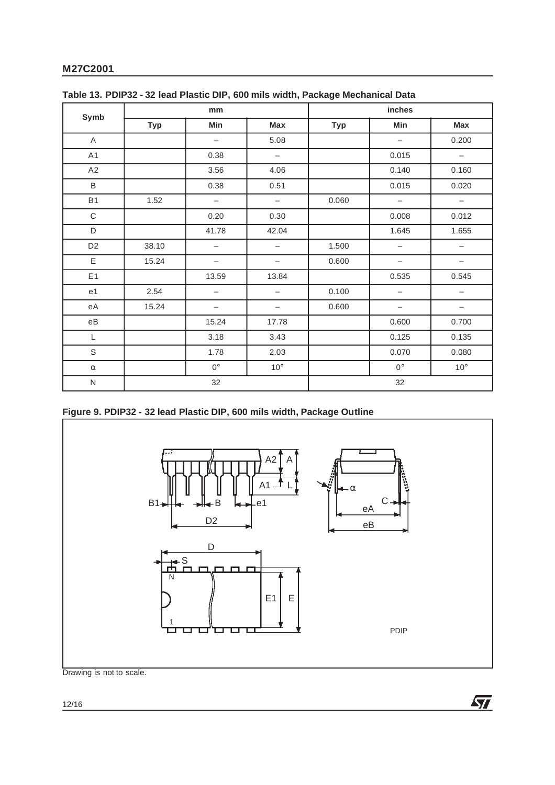| Symb                   |            | mm                       |                          | <b>inches</b> |                          |                          |  |
|------------------------|------------|--------------------------|--------------------------|---------------|--------------------------|--------------------------|--|
|                        | <b>Typ</b> | Min                      | Max                      | <b>Typ</b>    | Min                      | Max                      |  |
| A                      |            | $\qquad \qquad -$        | 5.08                     |               | $\overline{\phantom{m}}$ | 0.200                    |  |
| A1                     |            | 0.38                     | $\overline{\phantom{m}}$ |               | 0.015                    | $\overline{\phantom{a}}$ |  |
| A2                     |            | 3.56                     | 4.06                     |               | 0.140                    | 0.160                    |  |
| B                      |            | 0.38                     | 0.51                     |               | 0.015                    | 0.020                    |  |
| <b>B1</b>              | 1.52       | $\overline{\phantom{m}}$ | $\overline{\phantom{m}}$ | 0.060         | $\overline{\phantom{m}}$ | $\overline{\phantom{m}}$ |  |
| $\mathbf C$            |            | 0.20                     | 0.30                     |               | 0.008                    | 0.012                    |  |
| D                      |            | 41.78                    | 42.04                    |               | 1.645                    | 1.655                    |  |
| D <sub>2</sub>         | 38.10      | $\overline{\phantom{m}}$ | $\qquad \qquad -$        | 1.500         | $\overline{\phantom{m}}$ | $\overline{\phantom{m}}$ |  |
| E                      | 15.24      | $\overline{\phantom{m}}$ | $\qquad \qquad -$        | 0.600         | $\overline{\phantom{m}}$ | $\qquad \qquad -$        |  |
| E <sub>1</sub>         |            | 13.59                    | 13.84                    |               | 0.535                    | 0.545                    |  |
| e1                     | 2.54       | $\qquad \qquad -$        | -                        | 0.100         | $\overline{\phantom{m}}$ | $\qquad \qquad -$        |  |
| еA                     | 15.24      | $\overline{\phantom{0}}$ | $\overline{\phantom{0}}$ | 0.600         | $\overline{\phantom{m}}$ |                          |  |
| $\mathsf{e}\mathsf{B}$ |            | 15.24                    | 17.78                    |               | 0.600                    | 0.700                    |  |
| L                      |            | 3.18                     | 3.43                     |               | 0.125                    | 0.135                    |  |
| $\mathsf S$            |            | 1.78                     | 2.03                     |               | 0.070                    | 0.080                    |  |
| $\alpha$               |            | $0^{\circ}$              | $10^{\circ}$             |               | $0^{\circ}$              | $10^{\circ}$             |  |
| ${\sf N}$              | 32         |                          |                          | 32            |                          |                          |  |

|  |  |  | Table 13. PDIP32 - 32 lead Plastic DIP, 600 mils width, Package Mechanical Data |  |
|--|--|--|---------------------------------------------------------------------------------|--|
|  |  |  |                                                                                 |  |

# **Figure 9. PDIP32 - 32 lead Plastic DIP, 600 mils width, Package Outline**



 $\sqrt{2}$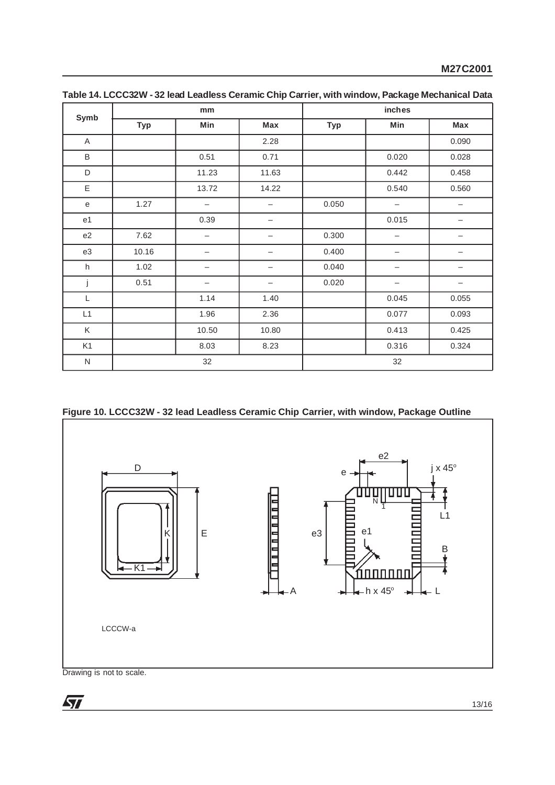| Symb           |            | mm                       |                          | inches     |                          |            |  |
|----------------|------------|--------------------------|--------------------------|------------|--------------------------|------------|--|
|                | <b>Typ</b> | Min                      | Max                      | <b>Typ</b> | Min                      | <b>Max</b> |  |
| $\overline{A}$ |            |                          | 2.28                     |            |                          | 0.090      |  |
| B              |            | 0.51                     | 0.71                     |            | 0.020                    | 0.028      |  |
| D              |            | 11.23                    | 11.63                    |            | 0.442                    | 0.458      |  |
| Ε              |            | 13.72                    | 14.22                    |            | 0.540                    | 0.560      |  |
| $\mathbf e$    | 1.27       | $\qquad \qquad -$        | $\overline{\phantom{0}}$ | 0.050      | $\overline{\phantom{0}}$ |            |  |
| e1             |            | 0.39                     | —                        |            | 0.015                    | —          |  |
| e2             | 7.62       | $\overline{\phantom{0}}$ | —                        | 0.300      | $\overline{\phantom{0}}$ |            |  |
| e3             | 10.16      |                          |                          | 0.400      |                          |            |  |
| h              | 1.02       | —                        | —                        | 0.040      | -                        |            |  |
| j              | 0.51       | —                        | —                        | 0.020      | —                        |            |  |
| L              |            | 1.14                     | 1.40                     |            | 0.045                    | 0.055      |  |
| L1             |            | 1.96                     | 2.36                     |            | 0.077                    | 0.093      |  |
| Κ              |            | 10.50                    | 10.80                    |            | 0.413                    | 0.425      |  |
| K <sub>1</sub> |            | 8.03                     | 8.23                     |            | 0.316                    | 0.324      |  |
| $\mathsf{N}$   |            | 32                       |                          |            | 32                       |            |  |

**Table 14. LCCC32W - 32 lead Leadless Ceramic Chip Carrier, with window, Package Mechanical Data**

# **Figure 10. LCCC32W - 32 lead Leadless Ceramic Chip Carrier, with window, Package Outline**



Drawing is not to scale.

 $\sqrt{27}$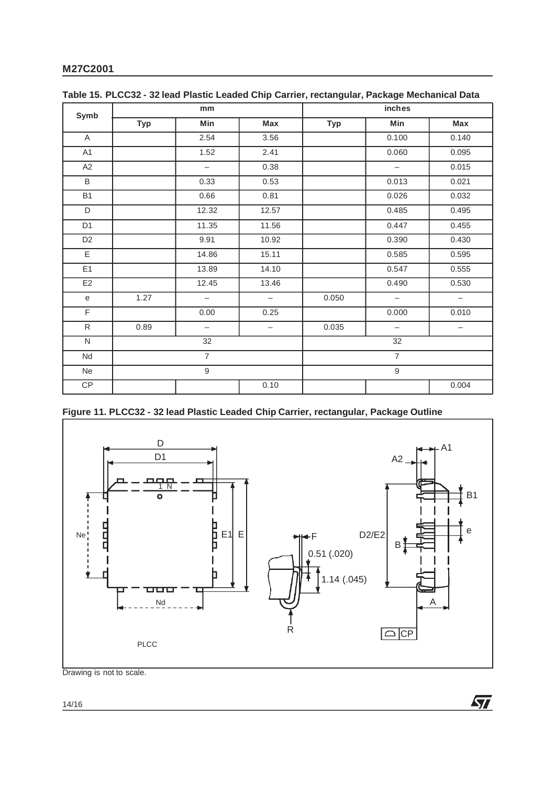| Symb                                       |                | mm                       |                          | inches         |                          |                          |  |
|--------------------------------------------|----------------|--------------------------|--------------------------|----------------|--------------------------|--------------------------|--|
|                                            | <b>Typ</b>     | Min                      | Max                      | <b>Typ</b>     | Min                      | Max                      |  |
| A                                          |                | 2.54                     | 3.56                     |                | 0.100                    | 0.140                    |  |
| A1                                         |                | 1.52                     | 2.41                     |                | 0.060                    | 0.095                    |  |
| A2                                         |                | $\qquad \qquad -$        | 0.38                     |                | $\overline{\phantom{m}}$ | 0.015                    |  |
| B                                          |                | 0.33                     | 0.53                     |                | 0.013                    | 0.021                    |  |
| <b>B1</b>                                  |                | 0.66                     | 0.81                     |                | 0.026                    | 0.032                    |  |
| D                                          |                | 12.32                    | 12.57                    |                | 0.485                    | 0.495                    |  |
| D <sub>1</sub>                             |                | 11.35                    | 11.56                    |                | 0.447                    | 0.455                    |  |
| D <sub>2</sub>                             |                | 9.91                     | 10.92                    |                | 0.390                    | 0.430                    |  |
| E                                          |                | 14.86                    | 15.11                    |                | 0.585                    | 0.595                    |  |
| E1                                         |                | 13.89                    | 14.10                    |                | 0.547                    | 0.555                    |  |
| E <sub>2</sub>                             |                | 12.45                    | 13.46                    |                | 0.490                    | 0.530                    |  |
| $\mathsf{e}% _{t}\left( \mathsf{e}\right)$ | 1.27           | $\overline{\phantom{m}}$ | $\overline{\phantom{m}}$ | 0.050          | $\overline{\phantom{m}}$ | $\overline{\phantom{m}}$ |  |
| F                                          |                | 0.00                     | 0.25                     |                | 0.000                    | 0.010                    |  |
| $\mathsf{R}$                               | 0.89           | $\overline{\phantom{a}}$ | $\qquad \qquad -$        | 0.035          | $\overline{\phantom{0}}$ | $\qquad \qquad -$        |  |
| N                                          | 32             |                          |                          | 32             |                          |                          |  |
| Nd                                         | $\overline{7}$ |                          |                          | $\overline{7}$ |                          |                          |  |
| Ne                                         |                | $\boldsymbol{9}$         |                          |                | $\boldsymbol{9}$         |                          |  |
| CP                                         |                |                          | 0.10                     |                |                          | 0.004                    |  |

| Table 15. PLCC32 - 32 lead Plastic Leaded Chip Carrier, rectangular, Package Mechanical Data |  |  |  |  |  |  |  |  |
|----------------------------------------------------------------------------------------------|--|--|--|--|--|--|--|--|
|----------------------------------------------------------------------------------------------|--|--|--|--|--|--|--|--|

# **Figure 11. PLCC32 - 32 lead Plastic Leaded Chip Carrier, rectangular, Package Outline**



 $\sqrt{2}$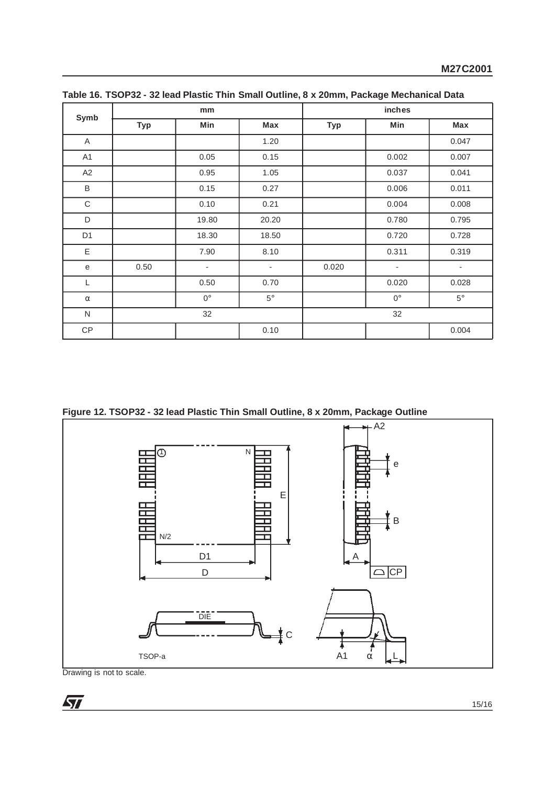|                |            | mm                       |                          | inches     |                          |                          |  |
|----------------|------------|--------------------------|--------------------------|------------|--------------------------|--------------------------|--|
| Symb           | <b>Typ</b> | Min                      | <b>Max</b>               | <b>Typ</b> | Min                      | Max                      |  |
| $\mathsf{A}$   |            |                          | 1.20                     |            |                          | 0.047                    |  |
| A <sub>1</sub> |            | 0.05                     | 0.15                     |            | 0.002                    | 0.007                    |  |
| A2             |            | 0.95                     | 1.05                     |            | 0.037                    | 0.041                    |  |
| B              |            | 0.15                     | 0.27                     |            | 0.006                    | 0.011                    |  |
| C              |            | 0.10                     | 0.21                     |            | 0.004                    | 0.008                    |  |
| D              |            | 19.80                    | 20.20                    |            | 0.780                    | 0.795                    |  |
| D <sub>1</sub> |            | 18.30                    | 18.50                    |            | 0.720                    | 0.728                    |  |
| Ε              |            | 7.90                     | 8.10                     |            | 0.311                    | 0.319                    |  |
| e              | 0.50       | $\overline{\phantom{a}}$ | $\overline{\phantom{a}}$ | 0.020      | $\overline{\phantom{a}}$ | $\overline{\phantom{a}}$ |  |
| L              |            | 0.50                     | 0.70                     |            | 0.020                    | 0.028                    |  |
| $\alpha$       |            | $0^{\circ}$              | $5^\circ$                |            | $0^{\circ}$              | $5^{\circ}$              |  |
| N              | 32         |                          |                          | 32         |                          |                          |  |
| <b>CP</b>      |            |                          | 0.10                     |            |                          | 0.004                    |  |

**Table 16. TSOP32 - 32 lead Plastic Thin Small Outline, 8 x 20mm, Package Mechanical Data**

**Figure 12. TSOP32 - 32 lead Plastic Thin Small Outline, 8 x 20mm, Package Outline**